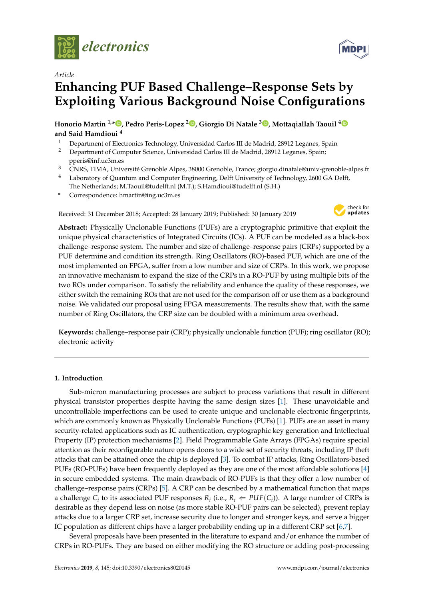

*Article*

# **Enhancing PUF Based Challenge–Response Sets by Exploiting Various Background Noise Configurations**

**Honorio Martin 1,\* [,](https://orcid.org/0000-0002-8720-406X) Pedro Peris-Lopez [2](https://orcid.org/0000-0001-6943-0760) , Giorgio Di Natale <sup>3</sup> [,](https://orcid.org/0000-0001-8063-5388) Mottaqiallah Taouil [4](https://orcid.org/0000-0002-9911-4846) and Said Hamdioui <sup>4</sup>**

- <sup>1</sup> Department of Electronics Technology, Universidad Carlos III de Madrid, 28912 Leganes, Spain<br><sup>2</sup> Department of Computer Science, Universidad Carlos III de Madrid, 28912 Leganes, Spain;
- <sup>2</sup> Department of Computer Science, Universidad Carlos III de Madrid, 28912 Leganes, Spain; pperis@inf.uc3m.es
- <sup>3</sup> CNRS, TIMA, Université Grenoble Alpes, 38000 Grenoble, France; giorgio.dinatale@univ-grenoble-alpes.fr
- <sup>4</sup> Laboratory of Quantum and Computer Engineering, Delft University of Technology, 2600 GA Delft, The Netherlands; M.Taouil@tudelft.nl (M.T.); S.Hamdioui@tudelft.nl (S.H.)
- **\*** Correspondence: hmartin@ing.uc3m.es

Received: 31 December 2018; Accepted: 28 January 2019; Published: 30 January 2019



**Abstract:** Physically Unclonable Functions (PUFs) are a cryptographic primitive that exploit the unique physical characteristics of Integrated Circuits (ICs). A PUF can be modeled as a black-box challenge–response system. The number and size of challenge–response pairs (CRPs) supported by a PUF determine and condition its strength. Ring Oscillators (RO)-based PUF, which are one of the most implemented on FPGA, suffer from a low number and size of CRPs. In this work, we propose an innovative mechanism to expand the size of the CRPs in a RO-PUF by using multiple bits of the two ROs under comparison. To satisfy the reliability and enhance the quality of these responses, we either switch the remaining ROs that are not used for the comparison off or use them as a background noise. We validated our proposal using FPGA measurements. The results show that, with the same number of Ring Oscillators, the CRP size can be doubled with a minimum area overhead.

**Keywords:** challenge–response pair (CRP); physically unclonable function (PUF); ring oscillator (RO); electronic activity

# **1. Introduction**

Sub-micron manufacturing processes are subject to process variations that result in different physical transistor properties despite having the same design sizes [\[1\]](#page-11-0). These unavoidable and uncontrollable imperfections can be used to create unique and unclonable electronic fingerprints, which are commonly known as Physically Unclonable Functions (PUFs) [\[1\]](#page-11-0). PUFs are an asset in many security-related applications such as IC authentication, cryptographic key generation and Intellectual Property (IP) protection mechanisms [\[2\]](#page-11-1). Field Programmable Gate Arrays (FPGAs) require special attention as their reconfigurable nature opens doors to a wide set of security threats, including IP theft attacks that can be attained once the chip is deployed [\[3\]](#page-12-0). To combat IP attacks, Ring Oscillators-based PUFs (RO-PUFs) have been frequently deployed as they are one of the most affordable solutions [\[4\]](#page-12-1) in secure embedded systems. The main drawback of RO-PUFs is that they offer a low number of challenge–response pairs (CRPs) [\[5\]](#page-12-2). A CRP can be described by a mathematical function that maps a challenge  $C_i$  to its associated PUF responses  $R_i$  (i.e.,  $R_i \Leftarrow \text{PUF}(C_i)$ ). A large number of CRPs is desirable as they depend less on noise (as more stable RO-PUF pairs can be selected), prevent replay attacks due to a larger CRP set, increase security due to longer and stronger keys, and serve a bigger IC population as different chips have a larger probability ending up in a different CRP set [\[6,](#page-12-3)[7\]](#page-12-4).

Several proposals have been presented in the literature to expand and/or enhance the number of CRPs in RO-PUFs. They are based on either modifying the RO structure or adding post-processing

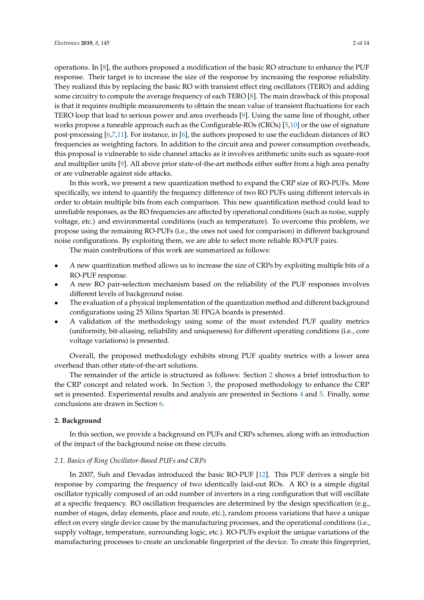operations. In [\[8\]](#page-12-5), the authors proposed a modification of the basic RO structure to enhance the PUF response. Their target is to increase the size of the response by increasing the response reliability. They realized this by replacing the basic RO with transient effect ring oscillators (TERO) and adding some circuitry to compute the average frequency of each TERO [\[8\]](#page-12-5). The main drawback of this proposal is that it requires multiple measurements to obtain the mean value of transient fluctuations for each TERO loop that lead to serious power and area overheads [\[9\]](#page-12-6). Using the same line of thought, other works propose a tuneable approach such as the Configurable-ROs (CROs) [\[5](#page-12-2)[,10\]](#page-12-7) or the use of signature post-processing [\[6](#page-12-3)[,7,](#page-12-4)[11\]](#page-12-8). For instance, in [\[6\]](#page-12-3), the authors proposed to use the euclidean distances of RO frequencies as weighting factors. In addition to the circuit area and power consumption overheads, this proposal is vulnerable to side channel attacks as it involves arithmetic units such as square-root and multiplier units [\[9\]](#page-12-6). All above prior state-of-the-art methods either suffer from a high area penalty or are vulnerable against side attacks.

In this work, we present a new quantization method to expand the CRP size of RO-PUFs. More specifically, we intend to quantify the frequency difference of two RO PUFs using different intervals in order to obtain multiple bits from each comparison. This new quantification method could lead to unreliable responses, as the RO frequencies are affected by operational conditions (such as noise, supply voltage, etc.) and environmental conditions (such as temperature). To overcome this problem, we propose using the remaining RO-PUFs (i.e., the ones not used for comparison) in different background noise configurations. By exploiting them, we are able to select more reliable RO-PUF pairs.

The main contributions of this work are summarized as follows:

- A new quantization method allows us to increase the size of CRPs by exploiting multiple bits of a RO-PUF response.
- A new RO pair-selection mechanism based on the reliability of the PUF responses involves different levels of background noise.
- The evaluation of a physical implementation of the quantization method and different background configurations using 25 Xilinx Spartan 3E FPGA boards is presented.
- A validation of the methodology using some of the most extended PUF quality metrics (uniformity, bit-aliasing, reliability and uniqueness) for different operating conditions (i.e., core voltage variations) is presented.

Overall, the proposed methodology exhibits strong PUF quality metrics with a lower area overhead than other state-of-the-art solutions.

The remainder of the article is structured as follows: Section [2](#page-1-0) shows a brief introduction to the CRP concept and related work. In Section [3,](#page-3-0) the proposed methodology to enhance the CRP set is presented. Experimental results and analysis are presented in Sections [4](#page-6-0) and [5.](#page-10-0) Finally, some conclusions are drawn in Section [6.](#page-11-2)

#### <span id="page-1-0"></span>**2. Background**

In this section, we provide a background on PUFs and CRPs schemes, along with an introduction of the impact of the background noise on these circuits.

# *2.1. Basics of Ring Oscillator-Based PUFs and CRPs*

In 2007, Suh and Devadas introduced the basic RO-PUF [\[12\]](#page-12-9). This PUF derives a single bit response by comparing the frequency of two identically laid-out ROs. A RO is a simple digital oscillator typically composed of an odd number of inverters in a ring configuration that will oscillate at a specific frequency. RO oscillation frequencies are determined by the design specification (e.g., number of stages, delay elements, place and route, etc.), random process variations that have a unique effect on every single device cause by the manufacturing processes, and the operational conditions (i.e., supply voltage, temperature, surrounding logic, etc.). RO-PUFs exploit the unique variations of the manufacturing processes to create an unclonable fingerprint of the device. To create this fingerprint,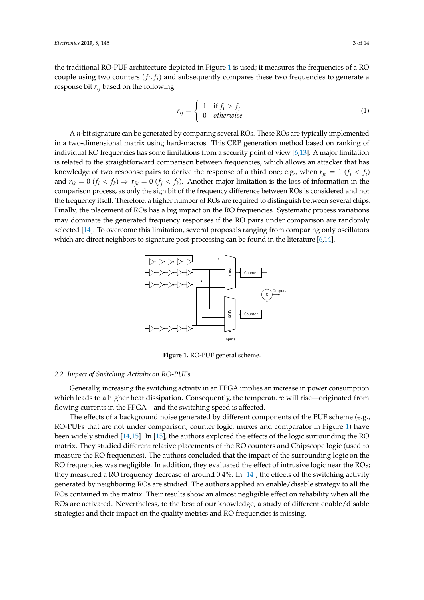the traditional RO-PUF architecture depicted in Figure [1](#page-2-0) is used; it measures the frequencies of a RO couple using two counters  $(f_i, f_j)$  and subsequently compares these two frequencies to generate a response bit *rij* based on the following:

$$
r_{ij} = \begin{cases} 1 & \text{if } f_i > f_j \\ 0 & \text{otherwise} \end{cases}
$$
 (1)

A *n*-bit signature can be generated by comparing several ROs. These ROs are typically implemented in a two-dimensional matrix using hard-macros. This CRP generation method based on ranking of individual RO frequencies has some limitations from a security point of view [\[6](#page-12-3)[,13\]](#page-12-10). A major limitation is related to the straightforward comparison between frequencies, which allows an attacker that has knowledge of two response pairs to derive the response of a third one; e.g., when  $r_{ji} = 1$  ( $f_j < f_i$ ) and  $r_{ik} = 0$  ( $f_i < f_k$ )  $\Rightarrow$   $r_{jk} = 0$  ( $f_j < f_k$ ). Another major limitation is the loss of information in the comparison process, as only the sign bit of the frequency difference between ROs is considered and not the frequency itself. Therefore, a higher number of ROs are required to distinguish between several chips. Finally, the placement of ROs has a big impact on the RO frequencies. Systematic process variations may dominate the generated frequency responses if the RO pairs under comparison are randomly selected [\[14\]](#page-12-11). To overcome this limitation, several proposals ranging from comparing only oscillators which are direct neighbors to signature post-processing can be found in the literature [\[6,](#page-12-3)[14\]](#page-12-11).

<span id="page-2-0"></span>

**Figure 1.** RO-PUF general scheme.

#### *2.2. Impact of Switching Activity on RO-PUFs*

Generally, increasing the switching activity in an FPGA implies an increase in power consumption which leads to a higher heat dissipation. Consequently, the temperature will rise—originated from flowing currents in the FPGA—and the switching speed is affected.

The effects of a background noise generated by different components of the PUF scheme (e.g., RO-PUFs that are not under comparison, counter logic, muxes and comparator in Figure [1\)](#page-2-0) have been widely studied [\[14](#page-12-11)[,15\]](#page-12-12). In [\[15\]](#page-12-12), the authors explored the effects of the logic surrounding the RO matrix. They studied different relative placements of the RO counters and Chipscope logic (used to measure the RO frequencies). The authors concluded that the impact of the surrounding logic on the RO frequencies was negligible. In addition, they evaluated the effect of intrusive logic near the ROs; they measured a RO frequency decrease of around 0.4%. In [\[14\]](#page-12-11), the effects of the switching activity generated by neighboring ROs are studied. The authors applied an enable/disable strategy to all the ROs contained in the matrix. Their results show an almost negligible effect on reliability when all the ROs are activated. Nevertheless, to the best of our knowledge, a study of different enable/disable strategies and their impact on the quality metrics and RO frequencies is missing.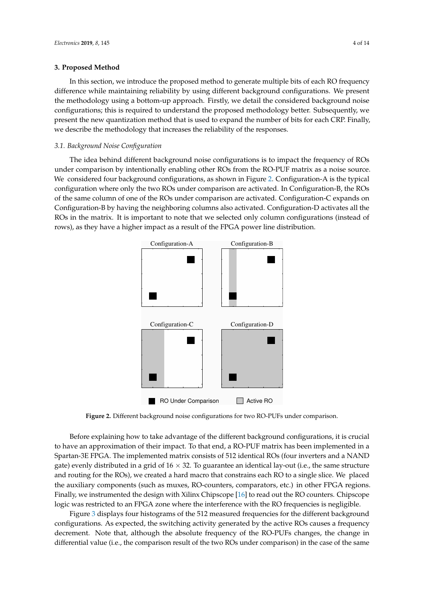#### <span id="page-3-0"></span>**3. Proposed Method**

In this section, we introduce the proposed method to generate multiple bits of each RO frequency difference while maintaining reliability by using different background configurations. We present the methodology using a bottom-up approach. Firstly, we detail the considered background noise configurations; this is required to understand the proposed methodology better. Subsequently, we present the new quantization method that is used to expand the number of bits for each CRP. Finally, we describe the methodology that increases the reliability of the responses.

#### *3.1. Background Noise Configuration*

The idea behind different background noise configurations is to impact the frequency of ROs under comparison by intentionally enabling other ROs from the RO-PUF matrix as a noise source. We considered four background configurations, as shown in Figure [2.](#page-3-1) Configuration-A is the typical configuration where only the two ROs under comparison are activated. In Configuration-B, the ROs of the same column of one of the ROs under comparison are activated. Configuration-C expands on Configuration-B by having the neighboring columns also activated. Configuration-D activates all the ROs in the matrix. It is important to note that we selected only column configurations (instead of rows), as they have a higher impact as a result of the FPGA power line distribution.

<span id="page-3-1"></span>

**Figure 2.** Different background noise configurations for two RO-PUFs under comparison.

Before explaining how to take advantage of the different background configurations, it is crucial to have an approximation of their impact. To that end, a RO-PUF matrix has been implemented in a Spartan-3E FPGA. The implemented matrix consists of 512 identical ROs (four inverters and a NAND gate) evenly distributed in a grid of  $16 \times 32$ . To guarantee an identical lay-out (i.e., the same structure and routing for the ROs), we created a hard macro that constrains each RO to a single slice. We placed the auxiliary components (such as muxes, RO-counters, comparators, etc.) in other FPGA regions. Finally, we instrumented the design with Xilinx Chipscope [\[16\]](#page-12-13) to read out the RO counters. Chipscope logic was restricted to an FPGA zone where the interference with the RO frequencies is negligible.

Figure [3](#page-4-0) displays four histograms of the 512 measured frequencies for the different background configurations. As expected, the switching activity generated by the active ROs causes a frequency decrement. Note that, although the absolute frequency of the RO-PUFs changes, the change in differential value (i.e., the comparison result of the two ROs under comparison) in the case of the same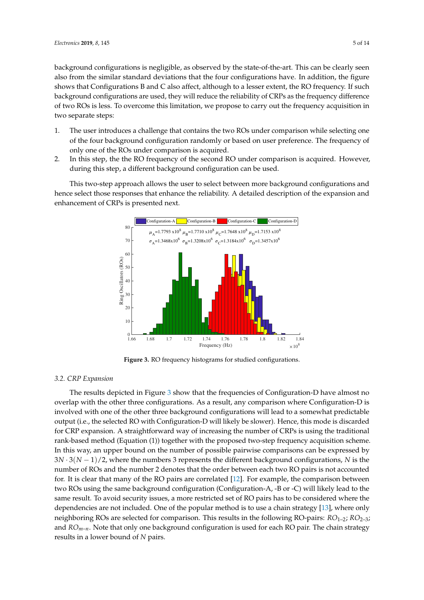background configurations is negligible, as observed by the state-of-the-art. This can be clearly seen also from the similar standard deviations that the four configurations have. In addition, the figure shows that Configurations B and C also affect, although to a lesser extent, the RO frequency. If such background configurations are used, they will reduce the reliability of CRPs as the frequency difference of two ROs is less. To overcome this limitation, we propose to carry out the frequency acquisition in two separate steps:

- 1. The user introduces a challenge that contains the two ROs under comparison while selecting one of the four background configuration randomly or based on user preference. The frequency of only one of the ROs under comparison is acquired.
- 2. In this step, the the RO frequency of the second RO under comparison is acquired. However, during this step, a different background configuration can be used.

<span id="page-4-0"></span>This two-step approach allows the user to select between more background configurations and hence select those responses that enhance the reliability. A detailed description of the expansion and enhancement of CRPs is presented next.



**Figure 3.** RO frequency histograms for studied configurations.

# *3.2. CRP Expansion*

The results depicted in Figure [3](#page-4-0) show that the frequencies of Configuration-D have almost no overlap with the other three configurations. As a result, any comparison where Configuration-D is involved with one of the other three background configurations will lead to a somewhat predictable output (i.e., the selected RO with Configuration-D will likely be slower). Hence, this mode is discarded for CRP expansion. A straightforward way of increasing the number of CRPs is using the traditional rank-based method (Equation (1)) together with the proposed two-step frequency acquisition scheme. In this way, an upper bound on the number of possible pairwise comparisons can be expressed by 3*N* · 3(*N* − 1)/2, where the numbers 3 represents the different background configurations, *N* is the number of ROs and the number 2 denotes that the order between each two RO pairs is not accounted for. It is clear that many of the RO pairs are correlated [\[12\]](#page-12-9). For example, the comparison between two ROs using the same background configuration (Configuration-A, -B or -C) will likely lead to the same result. To avoid security issues, a more restricted set of RO pairs has to be considered where the dependencies are not included. One of the popular method is to use a chain strategy [\[13\]](#page-12-10), where only neighboring ROs are selected for comparison. This results in the following RO-pairs: *RO*<sub>1-2</sub>; *RO*<sub>2-3</sub>; and *ROm*–*n*. Note that only one background configuration is used for each RO pair. The chain strategy results in a lower bound of *N* pairs.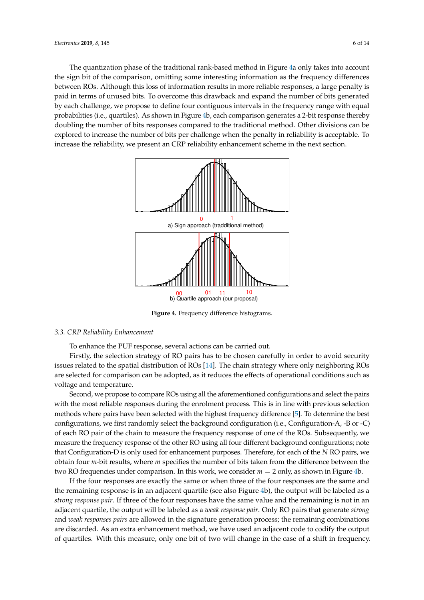The quantization phase of the traditional rank-based method in Figure [4a](#page-5-0) only takes into account the sign bit of the comparison, omitting some interesting information as the frequency differences between ROs. Although this loss of information results in more reliable responses, a large penalty is paid in terms of unused bits. To overcome this drawback and expand the number of bits generated by each challenge, we propose to define four contiguous intervals in the frequency range with equal probabilities (i.e., quartiles). As shown in Figure [4b](#page-5-0), each comparison generates a 2-bit response thereby doubling the number of bits responses compared to the traditional method. Other divisions can be explored to increase the number of bits per challenge when the penalty in reliability is acceptable. To increase the reliability, we present an CRP reliability enhancement scheme in the next section.

<span id="page-5-0"></span>

**Figure 4.** Frequency difference histograms.

# *3.3. CRP Reliability Enhancement*

To enhance the PUF response, several actions can be carried out.

Firstly, the selection strategy of RO pairs has to be chosen carefully in order to avoid security issues related to the spatial distribution of ROs [\[14\]](#page-12-11). The chain strategy where only neighboring ROs are selected for comparison can be adopted, as it reduces the effects of operational conditions such as voltage and temperature.

Second, we propose to compare ROs using all the aforementioned configurations and select the pairs with the most reliable responses during the enrolment process. This is in line with previous selection methods where pairs have been selected with the highest frequency difference [\[5\]](#page-12-2). To determine the best configurations, we first randomly select the background configuration (i.e., Configuration-A, -B or -C) of each RO pair of the chain to measure the frequency response of one of the ROs. Subsequently, we measure the frequency response of the other RO using all four different background configurations; note that Configuration-D is only used for enhancement purposes. Therefore, for each of the *N* RO pairs, we obtain four *m*-bit results, where *m* specifies the number of bits taken from the difference between the two RO frequencies under comparison. In this work, we consider *m* = 2 only, as shown in Figure [4b](#page-5-0).

If the four responses are exactly the same or when three of the four responses are the same and the remaining response is in an adjacent quartile (see also Figure [4b](#page-5-0)), the output will be labeled as a *strong response pair*. If three of the four responses have the same value and the remaining is not in an adjacent quartile, the output will be labeled as a *weak response pair*. Only RO pairs that generate *strong* and *weak responses pairs* are allowed in the signature generation process; the remaining combinations are discarded. As an extra enhancement method, we have used an adjacent code to codify the output of quartiles. With this measure, only one bit of two will change in the case of a shift in frequency.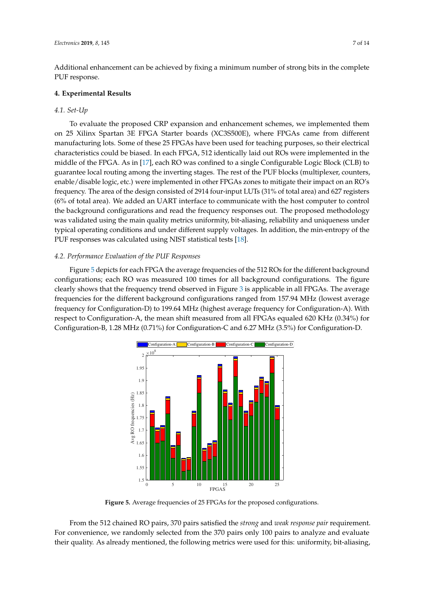Additional enhancement can be achieved by fixing a minimum number of strong bits in the complete PUF response.

# <span id="page-6-0"></span>**4. Experimental Results**

#### *4.1. Set-Up*

To evaluate the proposed CRP expansion and enhancement schemes, we implemented them on 25 Xilinx Spartan 3E FPGA Starter boards (XC3S500E), where FPGAs came from different manufacturing lots. Some of these 25 FPGAs have been used for teaching purposes, so their electrical characteristics could be biased. In each FPGA, 512 identically laid out ROs were implemented in the middle of the FPGA. As in [\[17\]](#page-12-14), each RO was confined to a single Configurable Logic Block (CLB) to guarantee local routing among the inverting stages. The rest of the PUF blocks (multiplexer, counters, enable/disable logic, etc.) were implemented in other FPGAs zones to mitigate their impact on an RO's frequency. The area of the design consisted of 2914 four-input LUTs (31% of total area) and 627 registers (6% of total area). We added an UART interface to communicate with the host computer to control the background configurations and read the frequency responses out. The proposed methodology was validated using the main quality metrics uniformity, bit-aliasing, reliability and uniqueness under typical operating conditions and under different supply voltages. In addition, the min-entropy of the PUF responses was calculated using NIST statistical tests [\[18\]](#page-12-15).

#### *4.2. Performance Evaluation of the PUF Responses*

Figure [5](#page-6-1) depicts for each FPGA the average frequencies of the 512 ROs for the different background configurations; each RO was measured 100 times for all background configurations. The figure clearly shows that the frequency trend observed in Figure [3](#page-4-0) is applicable in all FPGAs. The average frequencies for the different background configurations ranged from 157.94 MHz (lowest average frequency for Configuration-D) to 199.64 MHz (highest average frequency for Configuration-A). With respect to Configuration-A, the mean shift measured from all FPGAs equaled 620 KHz (0.34%) for Configuration-B, 1.28 MHz (0.71%) for Configuration-C and 6.27 MHz (3.5%) for Configuration-D.

<span id="page-6-1"></span>

**Figure 5.** Average frequencies of 25 FPGAs for the proposed configurations.

From the 512 chained RO pairs, 370 pairs satisfied the *strong* and *weak response pair* requirement. For convenience, we randomly selected from the 370 pairs only 100 pairs to analyze and evaluate their quality. As already mentioned, the following metrics were used for this: uniformity, bit-aliasing,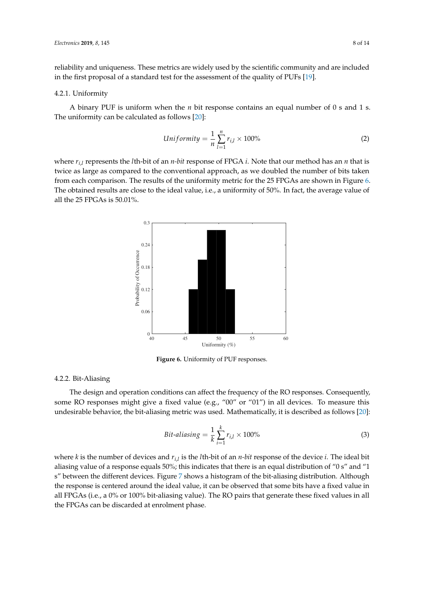reliability and uniqueness. These metrics are widely used by the scientific community and are included in the first proposal of a standard test for the assessment of the quality of PUFs [\[19\]](#page-12-16).

#### 4.2.1. Uniformity

A binary PUF is uniform when the *n* bit response contains an equal number of 0 s and 1 s. The uniformity can be calculated as follows [\[20\]](#page-12-17):

$$
Uniformity = \frac{1}{n} \sum_{l=1}^{n} r_{i,l} \times 100\%
$$
\n
$$
(2)
$$

<span id="page-7-0"></span>where  $r_{i,l}$  represents the *l*th-bit of an *n-bit* response of FPGA *i*. Note that our method has an *n* that is twice as large as compared to the conventional approach, as we doubled the number of bits taken from each comparison. The results of the uniformity metric for the 25 FPGAs are shown in Figure [6.](#page-7-0) The obtained results are close to the ideal value, i.e., a uniformity of 50%. In fact, the average value of all the 25 FPGAs is 50.01%.



**Figure 6.** Uniformity of PUF responses.

# 4.2.2. Bit-Aliasing

The design and operation conditions can affect the frequency of the RO responses. Consequently, some RO responses might give a fixed value (e.g., "00" or "01") in all devices. To measure this undesirable behavior, the bit-aliasing metric was used. Mathematically, it is described as follows [\[20\]](#page-12-17):

$$
Bit\text{-}aliasing = \frac{1}{k} \sum_{i=1}^{k} r_{i,l} \times 100\% \tag{3}
$$

where *k* is the number of devices and *ri*,*<sup>l</sup>* is the *l*th-bit of an *n-bit* response of the device *i*. The ideal bit aliasing value of a response equals 50%; this indicates that there is an equal distribution of "0 s" and "1 s" between the different devices. Figure [7](#page-8-0) shows a histogram of the bit-aliasing distribution. Although the response is centered around the ideal value, it can be observed that some bits have a fixed value in all FPGAs (i.e., a 0% or 100% bit-aliasing value). The RO pairs that generate these fixed values in all the FPGAs can be discarded at enrolment phase.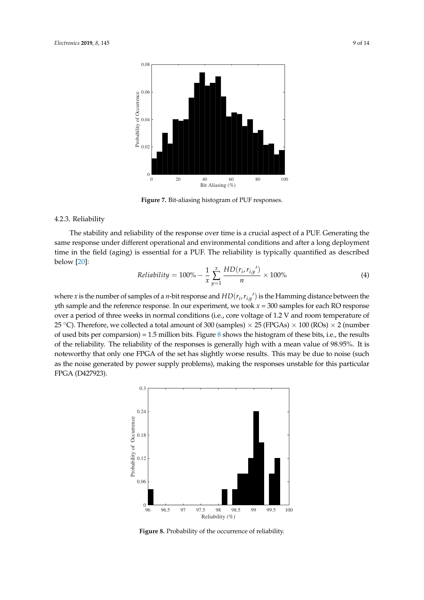<span id="page-8-0"></span>

**Figure 7.** Bit-aliasing histogram of PUF responses.

#### 4.2.3. Reliability

The stability and reliability of the response over time is a crucial aspect of a PUF. Generating the same response under different operational and environmental conditions and after a long deployment time in the field (aging) is essential for a PUF. The reliability is typically quantified as described below [\[20\]](#page-12-17):

$$
Reliability = 100\% - \frac{1}{x} \sum_{y=1}^{x} \frac{HD(r_i, r_{i,y'})}{n} \times 100\% \tag{4}
$$

where *x* is the number of samples of a *n*-bit response and  $HD(r_i, r_{i,y}')$  is the Hamming distance between the *y*th sample and the reference response. In our experiment, we took *x* = 300 samples for each RO response over a period of three weeks in normal conditions (i.e., core voltage of 1.2 V and room temperature of 25 °C). Therefore, we collected a total amount of 300 (samples)  $\times$  25 (FPGAs)  $\times$  100 (ROs)  $\times$  2 (number of used bits per comparsion) = 1.5 million bits. Figure [8](#page-8-1) shows the histogram of these bits, i.e., the results of the reliability. The reliability of the responses is generally high with a mean value of 98.95%. It is noteworthy that only one FPGA of the set has slightly worse results. This may be due to noise (such as the noise generated by power supply problems), making the responses unstable for this particular FPGA (D427923).

<span id="page-8-1"></span>

**Figure 8.** Probability of the occurrence of reliability.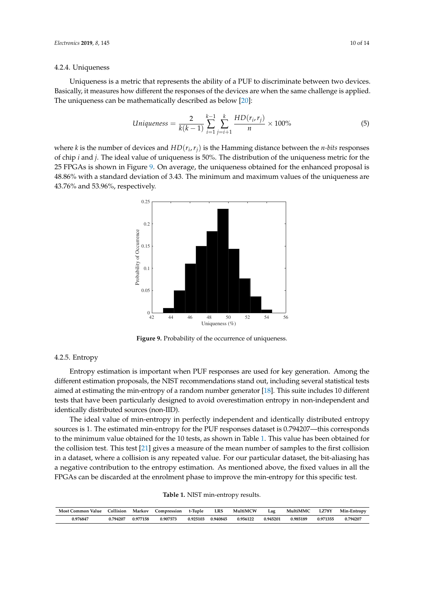#### 4.2.4. Uniqueness

Uniqueness is a metric that represents the ability of a PUF to discriminate between two devices. Basically, it measures how different the responses of the devices are when the same challenge is applied. The uniqueness can be mathematically described as below [\[20\]](#page-12-17):

$$
Uniqueness = \frac{2}{k(k-1)} \sum_{i=1}^{k-1} \sum_{j=i+1}^{k} \frac{HD(r_i, r_j)}{n} \times 100\% \tag{5}
$$

<span id="page-9-0"></span>where *k* is the number of devices and *HD*(*r<sup>i</sup>* ,*rj*) is the Hamming distance between the *n-bits* responses of chip *i* and *j*. The ideal value of uniqueness is 50%. The distribution of the uniqueness metric for the 25 FPGAs is shown in Figure [9.](#page-9-0) On average, the uniqueness obtained for the enhanced proposal is 48.86% with a standard deviation of 3.43. The minimum and maximum values of the uniqueness are 43.76% and 53.96%, respectively.



Figure 9. Probability of the occurrence of uniqueness.

#### 4.2.5. Entropy

Entropy estimation is important when PUF responses are used for key generation. Among the different estimation proposals, the NIST recommendations stand out, including several statistical tests aimed at estimating the min-entropy of a random number generator [\[18\]](#page-12-15). This suite includes 10 different tests that have been particularly designed to avoid overestimation entropy in non-independent and identically distributed sources (non-IID).

The ideal value of min-entropy in perfectly independent and identically distributed entropy sources is 1. The estimated min-entropy for the PUF responses dataset is 0.794207—this corresponds to the minimum value obtained for the 10 tests, as shown in Table [1.](#page-9-1) This value has been obtained for the collision test. This test [\[21\]](#page-12-18) gives a measure of the mean number of samples to the first collision in a dataset, where a collision is any repeated value. For our particular dataset, the bit-aliasing has a negative contribution to the entropy estimation. As mentioned above, the fixed values in all the FPGAs can be discarded at the enrolment phase to improve the min-entropy for this specific test.

| <b>Table 1. NIST</b> min-entropy results. |  |
|-------------------------------------------|--|
|-------------------------------------------|--|

<span id="page-9-1"></span>

| Most Common Value Collision |          | . Markov | Compression t-Tuple |          | LRS      | MultiMCW | Lag      | MultiMMC | <b>LZ78Y</b> | Min-Entropy |
|-----------------------------|----------|----------|---------------------|----------|----------|----------|----------|----------|--------------|-------------|
| 0.976847                    | 0.794207 | 0.977158 | 0.907573            | 0.925103 | 0.940845 | 0.956122 | 0.945201 | 0.985189 | 0.971355     | 0.794207    |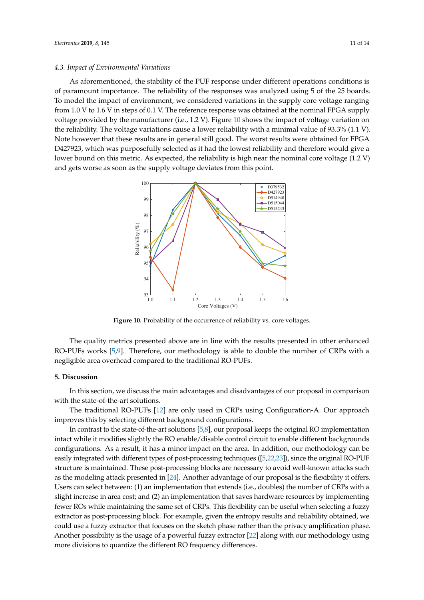#### *4.3. Impact of Environmental Variations*

As aforementioned, the stability of the PUF response under different operations conditions is of paramount importance. The reliability of the responses was analyzed using 5 of the 25 boards. To model the impact of environment, we considered variations in the supply core voltage ranging from 1.0 V to 1.6 V in steps of 0.1 V. The reference response was obtained at the nominal FPGA supply voltage provided by the manufacturer (i.e., 1.2 V). Figure [10](#page-10-1) shows the impact of voltage variation on the reliability. The voltage variations cause a lower reliability with a minimal value of 93.3% (1.1 V). Note however that these results are in general still good. The worst results were obtained for FPGA D427923, which was purposefully selected as it had the lowest reliability and therefore would give a lower bound on this metric. As expected, the reliability is high near the nominal core voltage (1.2 V) and gets worse as soon as the supply voltage deviates from this point.

<span id="page-10-1"></span>

**Figure 10.** Probability of the occurrence of reliability vs. core voltages.

The quality metrics presented above are in line with the results presented in other enhanced RO-PUFs works [\[5](#page-12-2)[,9\]](#page-12-6). Therefore, our methodology is able to double the number of CRPs with a negligible area overhead compared to the traditional RO-PUFs.

#### <span id="page-10-0"></span>**5. Discussion**

In this section, we discuss the main advantages and disadvantages of our proposal in comparison with the state-of-the-art solutions.

The traditional RO-PUFs [\[12\]](#page-12-9) are only used in CRPs using Configuration-A. Our approach improves this by selecting different background configurations.

In contrast to the state-of-the-art solutions [\[5,](#page-12-2)[8\]](#page-12-5), our proposal keeps the original RO implementation intact while it modifies slightly the RO enable/disable control circuit to enable different backgrounds configurations. As a result, it has a minor impact on the area. In addition, our methodology can be easily integrated with different types of post-processing techniques ([\[5,](#page-12-2)[22](#page-12-19)[,23\]](#page-12-20)), since the original RO-PUF structure is maintained. These post-processing blocks are necessary to avoid well-known attacks such as the modeling attack presented in [\[24\]](#page-13-0). Another advantage of our proposal is the flexibility it offers. Users can select between: (1) an implementation that extends (i.e., doubles) the number of CRPs with a slight increase in area cost; and (2) an implementation that saves hardware resources by implementing fewer ROs while maintaining the same set of CRPs. This flexibility can be useful when selecting a fuzzy extractor as post-processing block. For example, given the entropy results and reliability obtained, we could use a fuzzy extractor that focuses on the sketch phase rather than the privacy amplification phase. Another possibility is the usage of a powerful fuzzy extractor [\[22\]](#page-12-19) along with our methodology using more divisions to quantize the different RO frequency differences.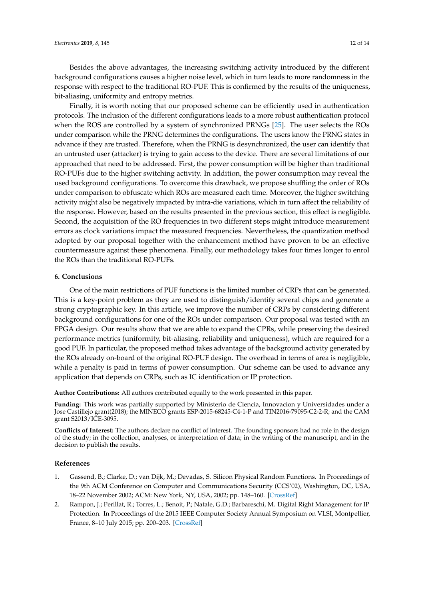Besides the above advantages, the increasing switching activity introduced by the different background configurations causes a higher noise level, which in turn leads to more randomness in the response with respect to the traditional RO-PUF. This is confirmed by the results of the uniqueness, bit-aliasing, uniformity and entropy metrics.

Finally, it is worth noting that our proposed scheme can be efficiently used in authentication protocols. The inclusion of the different configurations leads to a more robust authentication protocol when the ROS are controlled by a system of synchronized PRNGs [\[25\]](#page-13-1). The user selects the ROs under comparison while the PRNG determines the configurations. The users know the PRNG states in advance if they are trusted. Therefore, when the PRNG is desynchronized, the user can identify that an untrusted user (attacker) is trying to gain access to the device. There are several limitations of our approached that need to be addressed. First, the power consumption will be higher than traditional RO-PUFs due to the higher switching activity. In addition, the power consumption may reveal the used background configurations. To overcome this drawback, we propose shuffling the order of ROs under comparison to obfuscate which ROs are measured each time. Moreover, the higher switching activity might also be negatively impacted by intra-die variations, which in turn affect the reliability of the response. However, based on the results presented in the previous section, this effect is negligible. Second, the acquisition of the RO frequencies in two different steps might introduce measurement errors as clock variations impact the measured frequencies. Nevertheless, the quantization method adopted by our proposal together with the enhancement method have proven to be an effective countermeasure against these phenomena. Finally, our methodology takes four times longer to enrol the ROs than the traditional RO-PUFs.

#### <span id="page-11-2"></span>**6. Conclusions**

One of the main restrictions of PUF functions is the limited number of CRPs that can be generated. This is a key-point problem as they are used to distinguish/identify several chips and generate a strong cryptographic key. In this article, we improve the number of CRPs by considering different background configurations for one of the ROs under comparison. Our proposal was tested with an FPGA design. Our results show that we are able to expand the CPRs, while preserving the desired performance metrics (uniformity, bit-aliasing, reliability and uniqueness), which are required for a good PUF. In particular, the proposed method takes advantage of the background activity generated by the ROs already on-board of the original RO-PUF design. The overhead in terms of area is negligible, while a penalty is paid in terms of power consumption. Our scheme can be used to advance any application that depends on CRPs, such as IC identification or IP protection.

**Author Contributions:** All authors contributed equally to the work presented in this paper.

**Funding:** This work was partially supported by Ministerio de Ciencia, Innovacion y Universidades under a Jose Castillejo grant(2018); the MINECO grants ESP-2015-68245-C4-1-P and TIN2016-79095-C2-2-R; and the CAM grant S2013/ICE-3095.

**Conflicts of Interest:** The authors declare no conflict of interest. The founding sponsors had no role in the design of the study; in the collection, analyses, or interpretation of data; in the writing of the manuscript, and in the decision to publish the results.

#### **References**

- <span id="page-11-0"></span>1. Gassend, B.; Clarke, D.; van Dijk, M.; Devadas, S. Silicon Physical Random Functions. In Proceedings of the 9th ACM Conference on Computer and Communications Security (CCS'02), Washington, DC, USA, 18–22 November 2002; ACM: New York, NY, USA, 2002; pp. 148–160. [\[CrossRef\]](http://dx.doi.org/10.1145/586110.586132)
- <span id="page-11-1"></span>2. Rampon, J.; Perillat, R.; Torres, L.; Benoit, P.; Natale, G.D.; Barbareschi, M. Digital Right Management for IP Protection. In Proceedings of the 2015 IEEE Computer Society Annual Symposium on VLSI, Montpellier, France, 8–10 July 2015; pp. 200–203. [\[CrossRef\]](http://dx.doi.org/10.1109/ISVLSI.2015.127)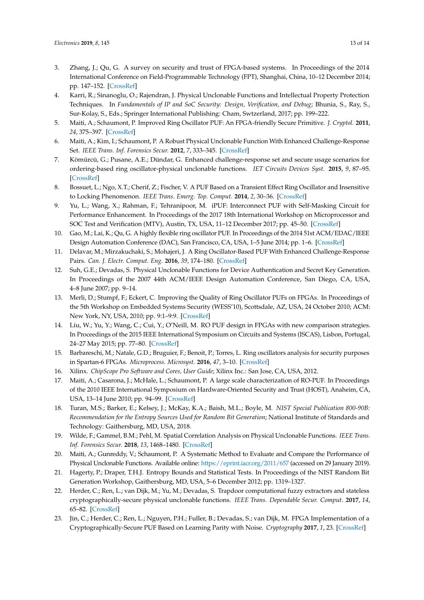- <span id="page-12-0"></span>3. Zhang, J.; Qu, G. A survey on security and trust of FPGA-based systems. In Proceedings of the 2014 International Conference on Field-Programmable Technology (FPT), Shanghai, China, 10–12 December 2014; pp. 147–152. [\[CrossRef\]](http://dx.doi.org/10.1109/FPT.2014.7082768)
- <span id="page-12-1"></span>4. Karri, R.; Sinanoglu, O.; Rajendran, J. Physical Unclonable Functions and Intellectual Property Protection Techniques. In *Fundamentals of IP and SoC Security: Design, Verification, and Debug*; Bhunia, S., Ray, S., Sur-Kolay, S., Eds.; Springer International Publishing: Cham, Swtzerland, 2017; pp. 199–222.
- <span id="page-12-2"></span>5. Maiti, A.; Schaumont, P. Improved Ring Oscillator PUF: An FPGA-friendly Secure Primitive. *J. Cryptol.* **2011**, *24*, 375–397. [\[CrossRef\]](http://dx.doi.org/10.1007/s00145-010-9088-4)
- <span id="page-12-3"></span>6. Maiti, A.; Kim, I.; Schaumont, P. A Robust Physical Unclonable Function With Enhanced Challenge-Response Set. *IEEE Trans. Inf. Forensics Secur.* **2012**, *7*, 333–345. [\[CrossRef\]](http://dx.doi.org/10.1109/TIFS.2011.2165540)
- <span id="page-12-4"></span>7. Kömürcü, G.; Pusane, A.E.; Dündar, G. Enhanced challenge-response set and secure usage scenarios for ordering-based ring oscillator-physical unclonable functions. *IET Circuits Devices Syst.* **2015**, *9*, 87–95. [\[CrossRef\]](http://dx.doi.org/10.1049/iet-cds.2014.0089)
- <span id="page-12-5"></span>8. Bossuet, L.; Ngo, X.T.; Cherif, Z.; Fischer, V. A PUF Based on a Transient Effect Ring Oscillator and Insensitive to Locking Phenomenon. *IEEE Trans. Emerg. Top. Comput.* **2014**, *2*, 30–36. [\[CrossRef\]](http://dx.doi.org/10.1109/TETC.2013.2287182)
- <span id="page-12-6"></span>9. Yu, L.; Wang, X.; Rahman, F.; Tehranipoor, M. iPUF: Interconnect PUF with Self-Masking Circuit for Performance Enhancement. In Proceedings of the 2017 18th International Workshop on Microprocessor and SOC Test and Verification (MTV), Austin, TX, USA, 11–12 December 2017; pp. 45–50. [\[CrossRef\]](http://dx.doi.org/10.1109/MTV.2017.14)
- <span id="page-12-7"></span>10. Gao, M.; Lai, K.; Qu, G. A highly flexible ring oscillator PUF. In Proceedings of the 2014 51st ACM/EDAC/IEEE Design Automation Conference (DAC), San Francisco, CA, USA, 1–5 June 2014; pp. 1–6. [\[CrossRef\]](http://dx.doi.org/10.1145/2593069.2593072)
- <span id="page-12-8"></span>11. Delavar, M.; Mirzakuchaki, S.; Mohajeri, J. A Ring Oscillator-Based PUF With Enhanced Challenge-Response Pairs. *Can. J. Electr. Comput. Eng.* **2016**, *39*, 174–180. [\[CrossRef\]](http://dx.doi.org/10.1109/CJECE.2016.2521877)
- <span id="page-12-9"></span>12. Suh, G.E.; Devadas, S. Physical Unclonable Functions for Device Authentication and Secret Key Generation. In Proceedings of the 2007 44th ACM/IEEE Design Automation Conference, San Diego, CA, USA, 4–8 June 2007; pp. 9–14.
- <span id="page-12-10"></span>13. Merli, D.; Stumpf, F.; Eckert, C. Improving the Quality of Ring Oscillator PUFs on FPGAs. In Proceedings of the 5th Workshop on Embedded Systems Security (WESS'10), Scottsdale, AZ, USA, 24 October 2010; ACM: New York, NY, USA, 2010; pp. 9:1–9:9. [\[CrossRef\]](http://dx.doi.org/10.1145/1873548.1873557)
- <span id="page-12-11"></span>14. Liu, W.; Yu, Y.; Wang, C.; Cui, Y.; O'Neill, M. RO PUF design in FPGAs with new comparison strategies. In Proceedings of the 2015 IEEE International Symposium on Circuits and Systems (ISCAS), Lisbon, Portugal, 24–27 May 2015; pp. 77–80. [\[CrossRef\]](http://dx.doi.org/10.1109/ISCAS.2015.7168574)
- <span id="page-12-12"></span>15. Barbareschi, M.; Natale, G.D.; Bruguier, F.; Benoit, P.; Torres, L. Ring oscillators analysis for security purposes in Spartan-6 FPGAs. *Microprocess. Microsyst.* **2016**, *47*, 3–10. [\[CrossRef\]](http://dx.doi.org/10.1016/j.micpro.2016.06.005)
- <span id="page-12-13"></span>16. Xilinx. *ChipScope Pro Software and Cores, User Guide*; Xilinx Inc.: San Jose, CA, USA, 2012.
- <span id="page-12-14"></span>17. Maiti, A.; Casarona, J.; McHale, L.; Schaumont, P. A large scale characterization of RO-PUF. In Proceedings of the 2010 IEEE International Symposium on Hardware-Oriented Security and Trust (HOST), Anaheim, CA, USA, 13–14 June 2010; pp. 94–99. [\[CrossRef\]](http://dx.doi.org/10.1109/HST.2010.5513108)
- <span id="page-12-15"></span>18. Turan, M.S.; Barker, E.; Kelsey, J.; McKay, K.A.; Baish, M.L.; Boyle, M. *NIST Special Publication 800-90B: Recommendation for the Entropy Sources Used for Random Bit Generation*; National Institute of Standards and Technology: Gaithersburg, MD, USA, 2018.
- <span id="page-12-16"></span>19. Wilde, F.; Gammel, B.M.; Pehl, M. Spatial Correlation Analysis on Physical Unclonable Functions. *IEEE Trans. Inf. Forensics Secur.* **2018**, *13*, 1468–1480. [\[CrossRef\]](http://dx.doi.org/10.1109/TIFS.2018.2791341)
- <span id="page-12-17"></span>20. Maiti, A.; Gunreddy, V.; Schaumont, P. A Systematic Method to Evaluate and Compare the Performance of Physical Unclonable Functions. Available online: <https://eprint.iacr.org/2011/657> (accessed on 29 January 2019).
- <span id="page-12-18"></span>21. Hagerty, P.; Draper, T.H.J. Entropy Bounds and Statistical Tests. In Proceedings of the NIST Random Bit Generation Workshop, Gaithersburg, MD, USA, 5–6 December 2012; pp. 1319–1327.
- <span id="page-12-19"></span>22. Herder, C.; Ren, L.; van Dijk, M.; Yu, M.; Devadas, S. Trapdoor computational fuzzy extractors and stateless cryptographically-secure physical unclonable functions. *IEEE Trans. Dependable Secur. Comput.* **2017**, *14*, 65–82. [\[CrossRef\]](http://dx.doi.org/10.1109/TDSC.2016.2536609)
- <span id="page-12-20"></span>23. Jin, C.; Herder, C.; Ren, L.; Nguyen, P.H.; Fuller, B.; Devadas, S.; van Dijk, M. FPGA Implementation of a Cryptographically-Secure PUF Based on Learning Parity with Noise. *Cryptography* **2017**, *1*, 23. [\[CrossRef\]](http://dx.doi.org/10.3390/cryptography1030023)